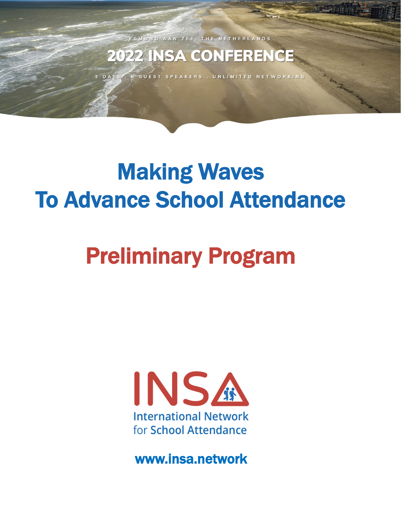EGMOND AAN ZEE, THE NETHERLANDS

### **2022 INSA CONFERENCE**

6 GUEST SPEAKERS . UNLIMITED NETWORKING

## Making Waves To Advance School Attendance

# Preliminary Program



[www.insa.network](https://www.insa.network/)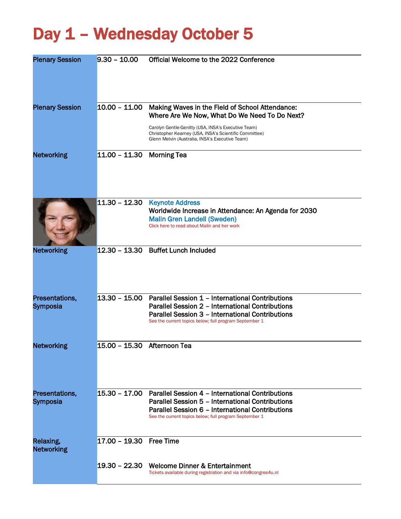### Day 1 - Wednesday October 5

| <b>Plenary Session</b>            | $9.30 - 10.00$            | Official Welcome to the 2022 Conference                                                                                                                                                                                                                                            |
|-----------------------------------|---------------------------|------------------------------------------------------------------------------------------------------------------------------------------------------------------------------------------------------------------------------------------------------------------------------------|
| <b>Plenary Session</b>            |                           | 10.00 - 11.00 Making Waves in the Field of School Attendance:<br>Where Are We Now, What Do We Need To Do Next?<br>Carolyn Gentle-Genitty (USA, INSA's Executive Team)<br>Christopher Kearney (USA, INSA's Scientific Committee)<br>Glenn Melvin (Australia, INSA's Executive Team) |
| <b>Networking</b>                 | 11.00 - 11.30 Morning Tea |                                                                                                                                                                                                                                                                                    |
|                                   |                           | $11.30 - 12.30$ Keynote Address<br>Worldwide Increase in Attendance: An Agenda for 2030<br><b>Malin Gren Landell (Sweden)</b><br>Click here to read about Malin and her work                                                                                                       |
| <b>Networking</b>                 |                           | 12.30 - 13.30 Buffet Lunch Included                                                                                                                                                                                                                                                |
| Presentations,<br><b>Symposia</b> |                           | 13.30 - 15.00 Parallel Session 1 - International Contributions<br>Parallel Session 2 - International Contributions<br>Parallel Session 3 - International Contributions<br>See the current topics below; full program September 1                                                   |
| <b>Networking</b>                 | $15.00 - 15.30$           | Afternoon Tea                                                                                                                                                                                                                                                                      |
| Presentations,<br>Symposia        | $15.30 - 17.00$           | <b>Parallel Session 4 - International Contributions</b><br>Parallel Session 5 - International Contributions<br>Parallel Session 6 - International Contributions<br>See the current topics below; full program September 1                                                          |
| Relaxing,<br><b>Networking</b>    | 17.00 - 19.30 Free Time   |                                                                                                                                                                                                                                                                                    |
|                                   |                           | 19.30 - 22.30 Welcome Dinner & Entertainment<br>Tickets available during registration and via info@congres4u.nl                                                                                                                                                                    |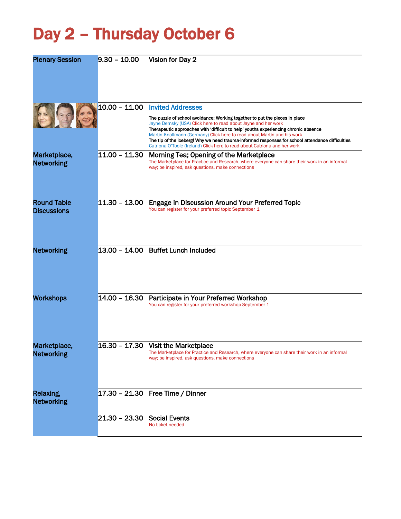## Day 2 – Thursday October 6

| <b>Plenary Session</b>                   | $9.30 - 10.00$              | Vision for Day 2                                                                                                                                                                                                                                                                                                                                                                                                                                                                                                                    |
|------------------------------------------|-----------------------------|-------------------------------------------------------------------------------------------------------------------------------------------------------------------------------------------------------------------------------------------------------------------------------------------------------------------------------------------------------------------------------------------------------------------------------------------------------------------------------------------------------------------------------------|
|                                          |                             | 10.00 - 11.00 Invited Addresses<br>The puzzle of school avoidance: Working together to put the pieces in place<br>Jayne Demsky (USA) Click here to read about Jayne and her work<br>Therapeutic approaches with 'difficult to help' youths experiencing chronic absence<br>Martin Knollmann (Germany) Click here to read about Martin and his work<br>The tip of the iceberg! Why we need trauma-informed responses for school attendance difficulties<br>Catriona O'Toole (Ireland) Click here to read about Catriona and her work |
| Marketplace,<br><b>Networking</b>        | $11.00 - 11.30$             | Morning Tea; Opening of the Marketplace<br>The Marketplace for Practice and Research, where everyone can share their work in an informal<br>way; be inspired, ask questions, make connections                                                                                                                                                                                                                                                                                                                                       |
| <b>Round Table</b><br><b>Discussions</b> |                             | 11.30 - 13.00 Engage in Discussion Around Your Preferred Topic<br>You can register for your preferred topic September 1                                                                                                                                                                                                                                                                                                                                                                                                             |
| <b>Networking</b>                        |                             | 13.00 - 14.00 Buffet Lunch Included                                                                                                                                                                                                                                                                                                                                                                                                                                                                                                 |
| <b>Workshops</b>                         |                             | 14.00 - 16.30 Participate in Your Preferred Workshop<br>You can register for your preferred workshop September 1                                                                                                                                                                                                                                                                                                                                                                                                                    |
| Marketplace,<br><b>Networking</b>        |                             | 16.30 - 17.30 Visit the Marketplace<br>The Marketplace for Practice and Research, where everyone can share their work in an informal<br>way; be inspired, ask questions, make connections                                                                                                                                                                                                                                                                                                                                           |
| Relaxing,<br><b>Networking</b>           |                             | 17.30 - 21.30 Free Time / Dinner                                                                                                                                                                                                                                                                                                                                                                                                                                                                                                    |
|                                          | 21.30 - 23.30 Social Events | No ticket needed                                                                                                                                                                                                                                                                                                                                                                                                                                                                                                                    |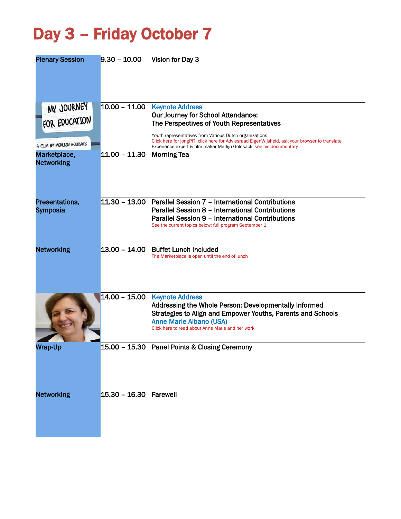## Day 3 – Friday October 7

| <b>Plenary Session</b>                                    | $9.30 - 10.00$         | Vision for Day 3                                                                                                                                                                                                                                                                                                                              |
|-----------------------------------------------------------|------------------------|-----------------------------------------------------------------------------------------------------------------------------------------------------------------------------------------------------------------------------------------------------------------------------------------------------------------------------------------------|
| MY JOURNEY<br>FOR EDUCATION<br>A FILM BY MERLIJN GOLDSACK | $10.00 - 11.00$        | <b>Keynote Address</b><br>Our Journey for School Attendance:<br>The Perspectives of Youth Representatives<br>Youth representatives from Various Dutch organizations<br>Click here for jongPIT, click here for Adviesraad EigenWijsheid, ask your browser to translate<br>Experience expert & film-maker Merlijn Goldsack, see his documentary |
| Marketplace,<br><b>Networking</b>                         | $11.00 - 11.30$        | <b>Morning Tea</b>                                                                                                                                                                                                                                                                                                                            |
| Presentations,<br><b>Symposia</b>                         |                        | 11.30 - 13.00 Parallel Session 7 - International Contributions<br>Parallel Session 8 - International Contributions<br>Parallel Session 9 - International Contributions<br>See the current topics below; full program September 1                                                                                                              |
| <b>Networking</b>                                         | $13.00 - 14.00$        | <b>Buffet Lunch Included</b><br>The Marketplace is open until the end of lunch                                                                                                                                                                                                                                                                |
|                                                           | $14.00 - 15.00$        | <b>Keynote Address</b><br>Addressing the Whole Person: Developmentally Informed<br>Strategies to Align and Empower Youths, Parents and Schools<br><b>Anne Marie Albano (USA)</b><br>Click here to read about Anne Marie and her work                                                                                                          |
| Wrap-Up                                                   |                        | 15.00 - 15.30 Panel Points & Closing Ceremony                                                                                                                                                                                                                                                                                                 |
| <b>Networking</b>                                         | 15.30 - 16.30 Farewell |                                                                                                                                                                                                                                                                                                                                               |